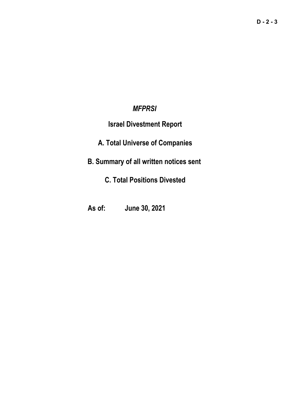### *MFPRSI*

## **Israel Divestment Report**

# **A. Total Universe of Companies**

# **B. Summary of all written notices sent**

# **C. Total Positions Divested**

## **As of: June 30, 2021**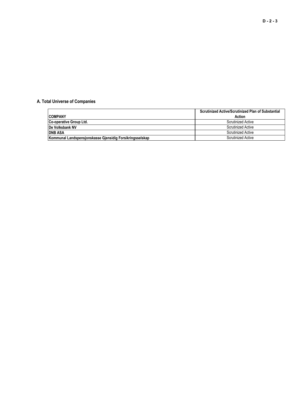### **A. Total Universe of Companies**

|                                                          | Scrutinized Active/Scrutinized Plan of Substantial |
|----------------------------------------------------------|----------------------------------------------------|
| <b>COMPANY</b>                                           | Action                                             |
| Co-operative Group Ltd.                                  | <b>Scrutinized Active</b>                          |
| <b>IDe Volksbank NV</b>                                  | <b>Scrutinized Active</b>                          |
| <b>DNB ASA</b>                                           | <b>Scrutinized Active</b>                          |
| Kommunal Landspensjonskasse Gjensidig Forsikringsselskap | <b>Scrutinized Active</b>                          |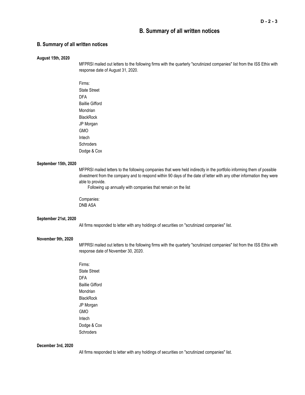### **B. Summary of all written notices**

### **B. Summary of all written notices**

#### **August 15th, 2020**

MFPRSI mailed out letters to the following firms with the quarterly "scrutinized companies" list from the ISS Ethix with response date of August 31, 2020.

Firms: State Street DFA Baillie Gifford Mondrian **BlackRock** JP Morgan GMO Intech **Schroders** Dodge & Cox

#### **September 15th, 2020**

MFPRSI mailed letters to the following companies that were held indirectly in the portfolio informing them of possible divestment from the company and to respond within 90 days of the date of letter with any other information they were able to provide.

Following up annually with companies that remain on the list

Companies: DNB ASA

#### **September 21st, 2020**

All firms responded to letter with any holdings of securities on "scrutinized companies" list.

#### **November 9th, 2020**

MFPRSI mailed out letters to the following firms with the quarterly "scrutinized companies" list from the ISS Ethix with response date of November 30, 2020.

Firms: State Street DFA Baillie Gifford Mondrian **BlackRock** JP Morgan GMO Intech Dodge & Cox **Schroders** 

#### **December 3rd, 2020**

All firms responded to letter with any holdings of securities on "scrutinized companies" list.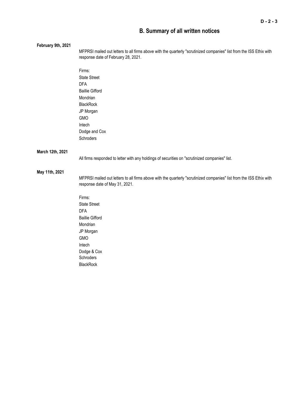### **B. Summary of all written notices**

| February 9th, 2021 | MFPRSI mailed out letters to all firms above with the quarterly "scrutinized companies" list from the ISS Ethix with<br>response date of February 28, 2021. |
|--------------------|-------------------------------------------------------------------------------------------------------------------------------------------------------------|
|                    | Firms:                                                                                                                                                      |
|                    | <b>State Street</b>                                                                                                                                         |
|                    | <b>DFA</b>                                                                                                                                                  |
|                    | <b>Baillie Gifford</b>                                                                                                                                      |
|                    | Mondrian                                                                                                                                                    |
|                    | BlackRock                                                                                                                                                   |
|                    | JP Morgan                                                                                                                                                   |
|                    | GMO                                                                                                                                                         |
|                    | Intech                                                                                                                                                      |
|                    | Dodge and Cox                                                                                                                                               |
|                    | Schroders                                                                                                                                                   |
| March 12th, 2021   |                                                                                                                                                             |
|                    | All firms responded to letter with any holdings of securities on "scrutinized companies" list.                                                              |
| May 11th, 2021     |                                                                                                                                                             |
|                    | MFPRSI mailed out letters to all firms above with the quarterly "scrutinized companies" list from the ISS Ethix with<br>response date of May 31, 2021.      |
|                    | Firms:                                                                                                                                                      |
|                    | <b>State Street</b>                                                                                                                                         |
|                    | <b>DFA</b>                                                                                                                                                  |
|                    | <b>Baillie Gifford</b>                                                                                                                                      |
|                    | Mondrian                                                                                                                                                    |
|                    | JP Morgan                                                                                                                                                   |
|                    | <b>GMO</b>                                                                                                                                                  |
|                    | Intech                                                                                                                                                      |
|                    | Dodge & Cox                                                                                                                                                 |
|                    | Schroders                                                                                                                                                   |
|                    | <b>BlackRock</b>                                                                                                                                            |
|                    |                                                                                                                                                             |
|                    |                                                                                                                                                             |
|                    |                                                                                                                                                             |